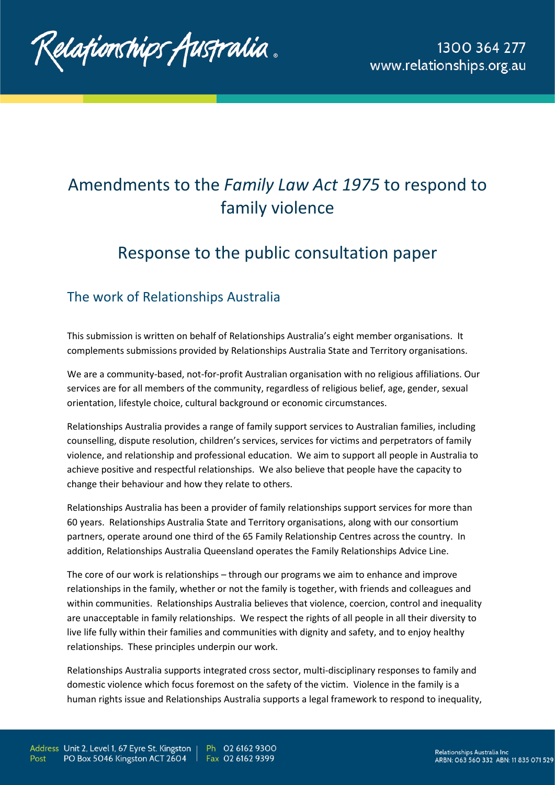Relafionships fustralia.

## Amendments to the *Family Law Act 1975* to respond to family violence

## Response to the public consultation paper

## The work of Relationships Australia

This submission is written on behalf of Relationships Australia's eight member organisations. It complements submissions provided by Relationships Australia State and Territory organisations.

We are a community-based, not-for-profit Australian organisation with no religious affiliations. Our services are for all members of the community, regardless of religious belief, age, gender, sexual orientation, lifestyle choice, cultural background or economic circumstances.

Relationships Australia provides a range of family support services to Australian families, including counselling, dispute resolution, children's services, services for victims and perpetrators of family violence, and relationship and professional education. We aim to support all people in Australia to achieve positive and respectful relationships. We also believe that people have the capacity to change their behaviour and how they relate to others.

Relationships Australia has been a provider of family relationships support services for more than 60 years. Relationships Australia State and Territory organisations, along with our consortium partners, operate around one third of the 65 Family Relationship Centres across the country. In addition, Relationships Australia Queensland operates the Family Relationships Advice Line.

The core of our work is relationships – through our programs we aim to enhance and improve relationships in the family, whether or not the family is together, with friends and colleagues and within communities. Relationships Australia believes that violence, coercion, control and inequality are unacceptable in family relationships. We respect the rights of all people in all their diversity to live life fully within their families and communities with dignity and safety, and to enjoy healthy relationships. These principles underpin our work.

Relationships Australia supports integrated cross sector, multi-disciplinary responses to family and domestic violence which focus foremost on the safety of the victim. Violence in the family is a human rights issue and Relationships Australia supports a legal framework to respond to inequality,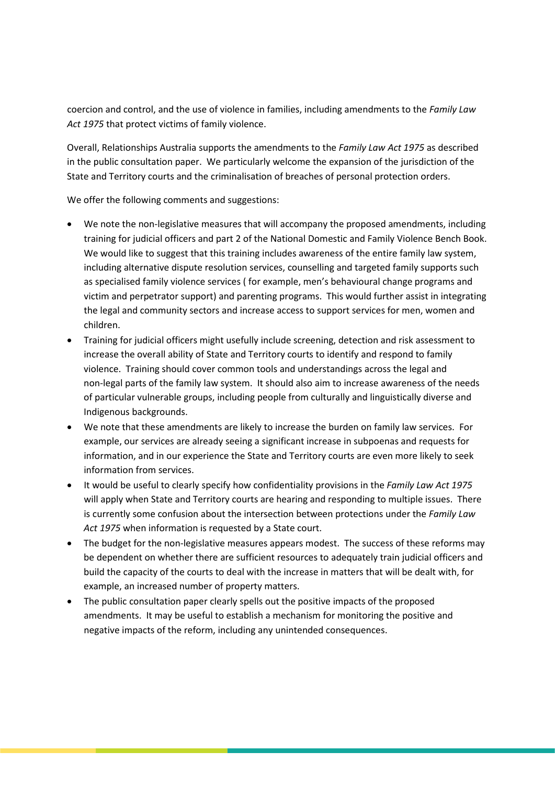coercion and control, and the use of violence in families, including amendments to the *Family Law Act 1975* that protect victims of family violence.

Overall, Relationships Australia supports the amendments to the *Family Law Act 1975* as described in the public consultation paper. We particularly welcome the expansion of the jurisdiction of the State and Territory courts and the criminalisation of breaches of personal protection orders.

We offer the following comments and suggestions:

- We note the non-legislative measures that will accompany the proposed amendments, including training for judicial officers and part 2 of the National Domestic and Family Violence Bench Book. We would like to suggest that this training includes awareness of the entire family law system, including alternative dispute resolution services, counselling and targeted family supports such as specialised family violence services ( for example, men's behavioural change programs and victim and perpetrator support) and parenting programs. This would further assist in integrating the legal and community sectors and increase access to support services for men, women and children.
- Training for judicial officers might usefully include screening, detection and risk assessment to increase the overall ability of State and Territory courts to identify and respond to family violence. Training should cover common tools and understandings across the legal and non-legal parts of the family law system. It should also aim to increase awareness of the needs of particular vulnerable groups, including people from culturally and linguistically diverse and Indigenous backgrounds.
- We note that these amendments are likely to increase the burden on family law services. For example, our services are already seeing a significant increase in subpoenas and requests for information, and in our experience the State and Territory courts are even more likely to seek information from services.
- It would be useful to clearly specify how confidentiality provisions in the *Family Law Act 1975* will apply when State and Territory courts are hearing and responding to multiple issues. There is currently some confusion about the intersection between protections under the *Family Law Act 1975* when information is requested by a State court.
- The budget for the non-legislative measures appears modest. The success of these reforms may be dependent on whether there are sufficient resources to adequately train judicial officers and build the capacity of the courts to deal with the increase in matters that will be dealt with, for example, an increased number of property matters.
- The public consultation paper clearly spells out the positive impacts of the proposed amendments. It may be useful to establish a mechanism for monitoring the positive and negative impacts of the reform, including any unintended consequences.